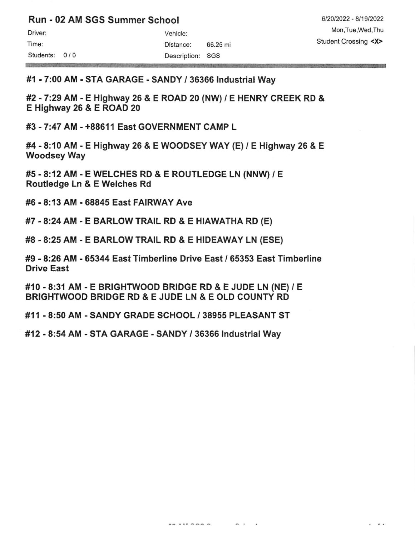|  |  | Run - 02 AM SGS Summer School |  |
|--|--|-------------------------------|--|
|  |  |                               |  |

| Driver:   |     |
|-----------|-----|
| Time:     |     |
| Students: | 0/0 |

**REPORT OF A REPORT OF A REPORT OF A REPORT** 

Vehicle: Distance: 66.25 mi Description: SGs

. ..

## #1 - 7:00 AM - STA GARAGE - SANDY / 36366 lndustrial Way

#2 -7:29 AM - E Highway 26 & E ROAD 20 (NW) / E HENRY CREEK RD & E Highway 26 & E ROAD 20

#3 - 7:47 AM - +88611 East GOVERNMENT CAMP L

#4 - 8:10 AM - E Highway 26 & E WOODSEY WAY (E) / E Highway 26 & E Woodsey Way

#5 - 8:12 AM - E WELCHES RD & E ROUTLEDGE LN (NNW) / E Routledge Ln & E Welches Rd

#6 - 8:13 AM - 68845 East FAIRWAY Ave

#7 -8:24 AM - E BARLOW TRAIL RD & E HIAWATHA RD {E)

#8 - 8:25 AM - E BARLOW TRAIL RD & E HIDEAWAY LN (ESE)

#9 - 8:26 AM - 65344 East Timberline Drive East / 65353 East Timberline Drive East

#10 - 8:31 AM - E BRIGHTWOOD BRIDGE RD & E JUDE LN (NE) / E BRIGHTWOOD BRIDGE RD & E JUDE LN & E OLD COUNTY RD

#11 .8:50 AM . SANDY GRADE SCHOOL / 38955 PLEASANT ST

#12 - 8:54 AM - STA GARAGE - SANDY / 36366 Industrial Way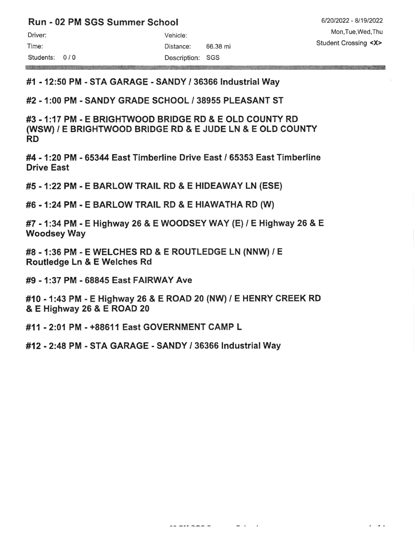## Run - 02 PM SGS Summer School

Mark School is a class state where the ma

Driver: Vehicle: Time: 66.38 mi Students: 0 / 0 Description: SGS

6/20/2022 - 8/19/2022 Mon,Tue,Wed,Thu Student Crossing <X>

 $\ddot{\phantom{1}}$ 

#1 - 12:50 PM - STA GARAGE - SANDY I 36366 lndustrial Way

#2 - 1:00 PM - SANDY GRADE SCHOOL / 38955 PLEASANT ST

#3 -1:17 PM - E BRIGHTWOOD BRIDGE RD & E OLD COUNry RD (WSW) / E BRIGHTWOOD BRIDGE RD & E JUDE LN & E OLD COUNTY RD

#4 - 1:20 PM - 65344 East Timberline Drive East / 65353 East Timberline Drive East

#5 - 1:22 PM - E BARLOW TRAIL RD & E HIDEAWAY LN (ESE)

#6 - 1:24 PM - E BARLOW TRAIL RD & E HIAWATHA RD (W)

#7 - 1:34PM - E Highway 26 & E WOODSEYWAY {E)/ E Highway 26 & <sup>E</sup> Woodsey Way

#8 - 1:36 PM - E WELCHES RD & E ROUTLEDGE LN (NNw) / E Routledge Ln & E Welches Rd

#9 - 1:37 PM - 68845 East FAIRWAY Ave

#10 - 1:43 PM - E Highway 26 & E ROAD 20 (NW) / E HENRY CREEK RD & E Highway 26 & E ROAD 20

.........

 $-$ 

#11 -2:01 PM - +88611 East GOVERNMENT CAMP L

#12 -2:48 PM - STA GARAGE - SANDY / 36366 lndustrial Way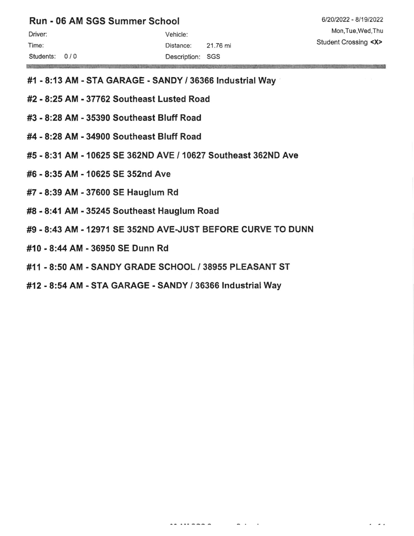## Run - 06 AM SGS Summer School

**SAMPLE REAL PROPERTY** 

#1 - 8:13 AM - STA GARAGE - SANDY / 36366 lndustrial Way

- #2 8:25 AM 37762 Southeast Lusted Road
- #3 8:28 AM 35390 Southeast Bluff Road
- #4 8:28 AM 34900 Southeast Bluff Road
- #5 8;31 AM 10625 SE 362ND AVE / 10627 Southeast 362ND Ave
- #6 8:35 AM 10625 SE 352nd Ave
- #7 8:39 AM 37600 SE Hauglum Rd
- #8 8:41 AM 35245 Southeast Hauglum Road
- #9 8:43 AM 12971 SE 352ND AVE-JUST BEFORE CURVE TO DUNN
- #10 8:4 AM 36950 SE Dunn Rd
- #11 8:50 AM SANDY GRADE SCHOOL / 38955 PLEASANT ST
- #12 8:54 AM STA GARAGE SANDY / 36366 Industrial Way